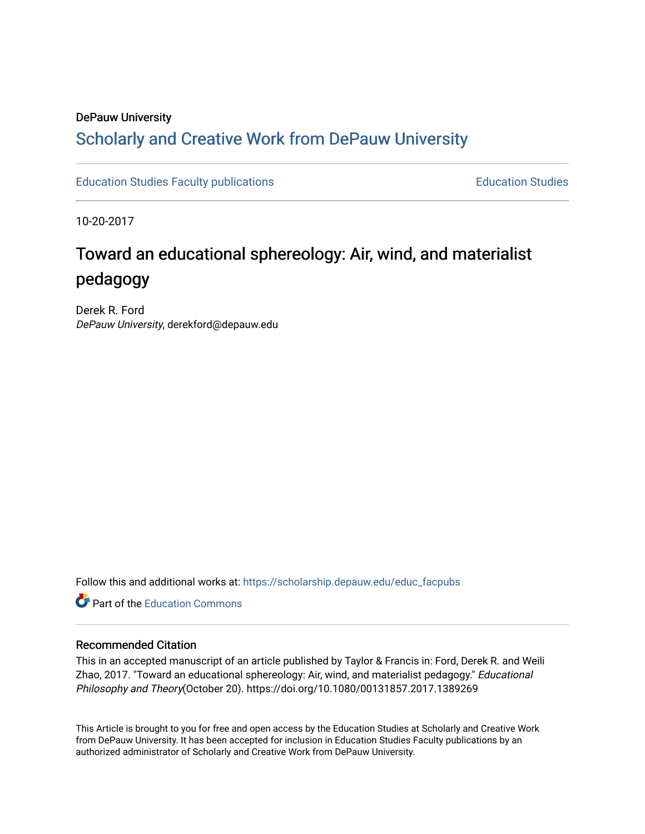## DePauw University

# Scholarly and [Creative Work from DePauw Univ](https://scholarship.depauw.edu/)ersity

[Education Studies Faculty publications](https://scholarship.depauw.edu/educ_facpubs) **Education Studies** Education Studies

10-20-2017

# Toward an educational sphereology: Air, wind, and materialist pedagogy

Derek R. Ford DePauw University, derekford@depauw.edu

Follow this and additional works at: [https://scholarship.depauw.edu/educ\\_facpubs](https://scholarship.depauw.edu/educ_facpubs?utm_source=scholarship.depauw.edu%2Feduc_facpubs%2F11&utm_medium=PDF&utm_campaign=PDFCoverPages)

**C** Part of the [Education Commons](https://network.bepress.com/hgg/discipline/784?utm_source=scholarship.depauw.edu%2Feduc_facpubs%2F11&utm_medium=PDF&utm_campaign=PDFCoverPages)

#### Recommended Citation

This in an accepted manuscript of an article published by Taylor & Francis in: Ford, Derek R. and Weili Zhao, 2017. "Toward an educational sphereology: Air, wind, and materialist pedagogy." Educational Philosophy and Theory(October 20). https://doi.org/10.1080/00131857.2017.1389269

This Article is brought to you for free and open access by the Education Studies at Scholarly and Creative Work from DePauw University. It has been accepted for inclusion in Education Studies Faculty publications by an authorized administrator of Scholarly and Creative Work from DePauw University.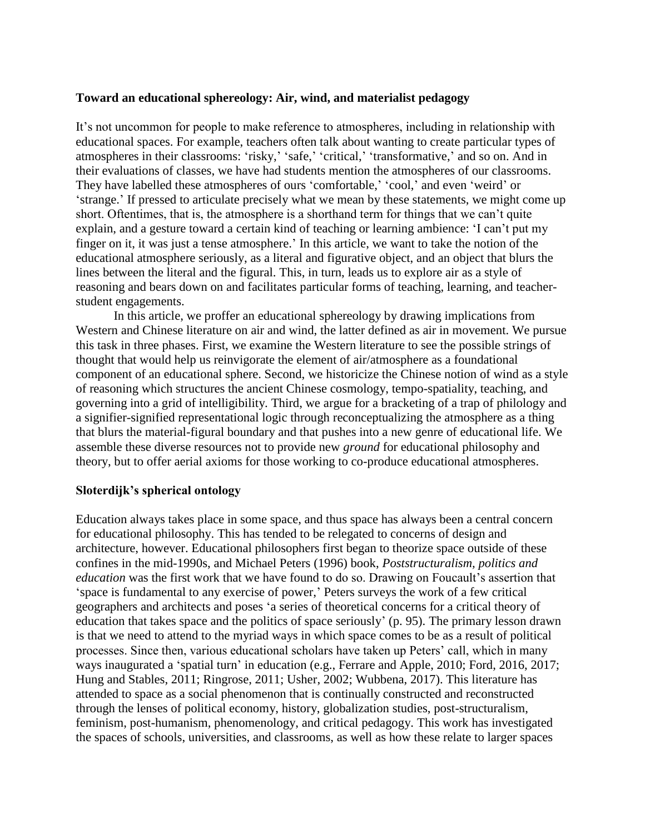#### **Toward an educational sphereology: Air, wind, and materialist pedagogy**

It's not uncommon for people to make reference to atmospheres, including in relationship with educational spaces. For example, teachers often talk about wanting to create particular types of atmospheres in their classrooms: 'risky,' 'safe,' 'critical,' 'transformative,' and so on. And in their evaluations of classes, we have had students mention the atmospheres of our classrooms. They have labelled these atmospheres of ours 'comfortable,' 'cool,' and even 'weird' or 'strange.' If pressed to articulate precisely what we mean by these statements, we might come up short. Oftentimes, that is, the atmosphere is a shorthand term for things that we can't quite explain, and a gesture toward a certain kind of teaching or learning ambience: 'I can't put my finger on it, it was just a tense atmosphere.' In this article, we want to take the notion of the educational atmosphere seriously, as a literal and figurative object, and an object that blurs the lines between the literal and the figural. This, in turn, leads us to explore air as a style of reasoning and bears down on and facilitates particular forms of teaching, learning, and teacherstudent engagements.

In this article, we proffer an educational sphereology by drawing implications from Western and Chinese literature on air and wind, the latter defined as air in movement. We pursue this task in three phases. First, we examine the Western literature to see the possible strings of thought that would help us reinvigorate the element of air/atmosphere as a foundational component of an educational sphere. Second, we historicize the Chinese notion of wind as a style of reasoning which structures the ancient Chinese cosmology, tempo-spatiality, teaching, and governing into a grid of intelligibility. Third, we argue for a bracketing of a trap of philology and a signifier-signified representational logic through reconceptualizing the atmosphere as a thing that blurs the material-figural boundary and that pushes into a new genre of educational life. We assemble these diverse resources not to provide new *ground* for educational philosophy and theory, but to offer aerial axioms for those working to co-produce educational atmospheres.

#### **Sloterdijk's spherical ontology**

Education always takes place in some space, and thus space has always been a central concern for educational philosophy. This has tended to be relegated to concerns of design and architecture, however. Educational philosophers first began to theorize space outside of these confines in the mid-1990s, and Michael Peters (1996) book, *Poststructuralism, politics and education* was the first work that we have found to do so. Drawing on Foucault's assertion that 'space is fundamental to any exercise of power,' Peters surveys the work of a few critical geographers and architects and poses 'a series of theoretical concerns for a critical theory of education that takes space and the politics of space seriously' (p. 95). The primary lesson drawn is that we need to attend to the myriad ways in which space comes to be as a result of political processes. Since then, various educational scholars have taken up Peters' call, which in many ways inaugurated a 'spatial turn' in education (e.g., Ferrare and Apple, 2010; Ford, 2016, 2017; Hung and Stables, 2011; Ringrose, 2011; Usher, 2002; Wubbena, 2017). This literature has attended to space as a social phenomenon that is continually constructed and reconstructed through the lenses of political economy, history, globalization studies, post-structuralism, feminism, post-humanism, phenomenology, and critical pedagogy. This work has investigated the spaces of schools, universities, and classrooms, as well as how these relate to larger spaces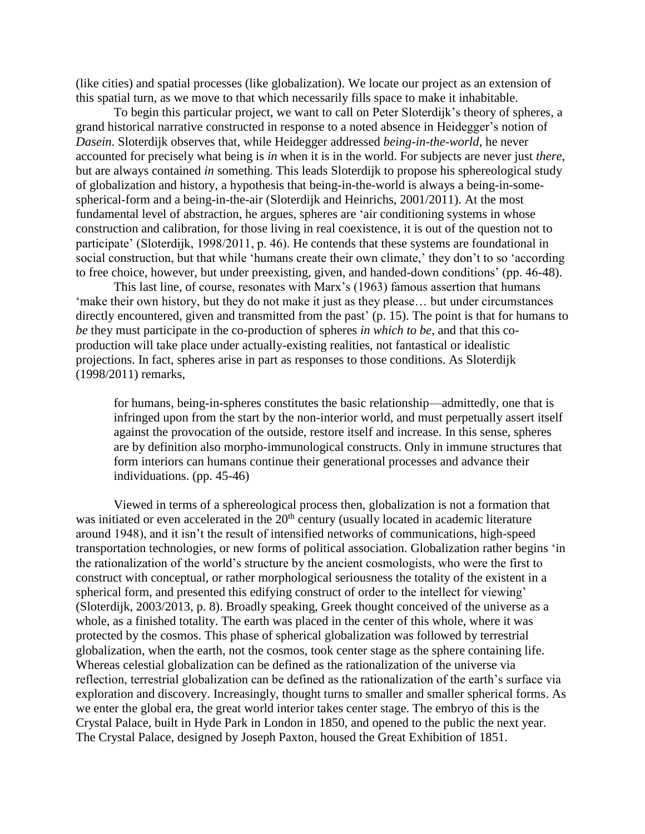(like cities) and spatial processes (like globalization). We locate our project as an extension of this spatial turn, as we move to that which necessarily fills space to make it inhabitable.

To begin this particular project, we want to call on Peter Sloterdijk's theory of spheres, a grand historical narrative constructed in response to a noted absence in Heidegger's notion of *Dasein*. Sloterdijk observes that, while Heidegger addressed *being-in-the-world*, he never accounted for precisely what being is *in* when it is in the world. For subjects are never just *there*, but are always contained *in* something. This leads Sloterdijk to propose his sphereological study of globalization and history, a hypothesis that being-in-the-world is always a being-in-somespherical-form and a being-in-the-air (Sloterdijk and Heinrichs, 2001/2011). At the most fundamental level of abstraction, he argues, spheres are 'air conditioning systems in whose construction and calibration, for those living in real coexistence, it is out of the question not to participate' (Sloterdijk, 1998/2011, p. 46). He contends that these systems are foundational in social construction, but that while 'humans create their own climate,' they don't to so 'according to free choice, however, but under preexisting, given, and handed-down conditions' (pp. 46-48).

This last line, of course, resonates with Marx's (1963) famous assertion that humans 'make their own history, but they do not make it just as they please… but under circumstances directly encountered, given and transmitted from the past' (p. 15). The point is that for humans to *be* they must participate in the co-production of spheres *in which to be*, and that this coproduction will take place under actually-existing realities, not fantastical or idealistic projections. In fact, spheres arise in part as responses to those conditions. As Sloterdijk (1998/2011) remarks,

for humans, being-in-spheres constitutes the basic relationship—admittedly, one that is infringed upon from the start by the non-interior world, and must perpetually assert itself against the provocation of the outside, restore itself and increase. In this sense, spheres are by definition also morpho-immunological constructs. Only in immune structures that form interiors can humans continue their generational processes and advance their individuations. (pp. 45-46)

Viewed in terms of a sphereological process then, globalization is not a formation that was initiated or even accelerated in the 20<sup>th</sup> century (usually located in academic literature around 1948), and it isn't the result of intensified networks of communications, high-speed transportation technologies, or new forms of political association. Globalization rather begins 'in the rationalization of the world's structure by the ancient cosmologists, who were the first to construct with conceptual, or rather morphological seriousness the totality of the existent in a spherical form, and presented this edifying construct of order to the intellect for viewing' (Sloterdijk, 2003/2013, p. 8). Broadly speaking, Greek thought conceived of the universe as a whole, as a finished totality. The earth was placed in the center of this whole, where it was protected by the cosmos. This phase of spherical globalization was followed by terrestrial globalization, when the earth, not the cosmos, took center stage as the sphere containing life. Whereas celestial globalization can be defined as the rationalization of the universe via reflection, terrestrial globalization can be defined as the rationalization of the earth's surface via exploration and discovery. Increasingly, thought turns to smaller and smaller spherical forms. As we enter the global era, the great world interior takes center stage. The embryo of this is the Crystal Palace, built in Hyde Park in London in 1850, and opened to the public the next year. The Crystal Palace, designed by Joseph Paxton, housed the Great Exhibition of 1851.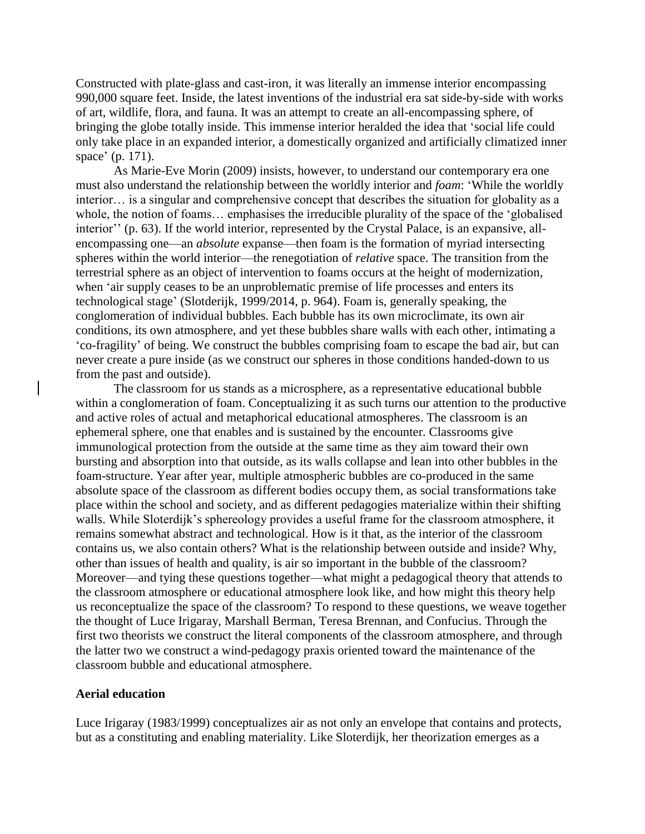Constructed with plate-glass and cast-iron, it was literally an immense interior encompassing 990,000 square feet. Inside, the latest inventions of the industrial era sat side-by-side with works of art, wildlife, flora, and fauna. It was an attempt to create an all-encompassing sphere, of bringing the globe totally inside. This immense interior heralded the idea that 'social life could only take place in an expanded interior, a domestically organized and artificially climatized inner space' (p. 171).

As Marie-Eve Morin (2009) insists, however, to understand our contemporary era one must also understand the relationship between the worldly interior and *foam*: 'While the worldly interior… is a singular and comprehensive concept that describes the situation for globality as a whole, the notion of foams… emphasises the irreducible plurality of the space of the 'globalised interior'' (p. 63). If the world interior, represented by the Crystal Palace, is an expansive, allencompassing one—an *absolute* expanse—then foam is the formation of myriad intersecting spheres within the world interior—the renegotiation of *relative* space. The transition from the terrestrial sphere as an object of intervention to foams occurs at the height of modernization, when 'air supply ceases to be an unproblematic premise of life processes and enters its technological stage' (Slotderijk, 1999/2014, p. 964). Foam is, generally speaking, the conglomeration of individual bubbles. Each bubble has its own microclimate, its own air conditions, its own atmosphere, and yet these bubbles share walls with each other, intimating a 'co-fragility' of being. We construct the bubbles comprising foam to escape the bad air, but can never create a pure inside (as we construct our spheres in those conditions handed-down to us from the past and outside).

The classroom for us stands as a microsphere, as a representative educational bubble within a conglomeration of foam. Conceptualizing it as such turns our attention to the productive and active roles of actual and metaphorical educational atmospheres. The classroom is an ephemeral sphere, one that enables and is sustained by the encounter. Classrooms give immunological protection from the outside at the same time as they aim toward their own bursting and absorption into that outside, as its walls collapse and lean into other bubbles in the foam-structure. Year after year, multiple atmospheric bubbles are co-produced in the same absolute space of the classroom as different bodies occupy them, as social transformations take place within the school and society, and as different pedagogies materialize within their shifting walls. While Sloterdijk's sphereology provides a useful frame for the classroom atmosphere, it remains somewhat abstract and technological. How is it that, as the interior of the classroom contains us, we also contain others? What is the relationship between outside and inside? Why, other than issues of health and quality, is air so important in the bubble of the classroom? Moreover—and tying these questions together—what might a pedagogical theory that attends to the classroom atmosphere or educational atmosphere look like, and how might this theory help us reconceptualize the space of the classroom? To respond to these questions, we weave together the thought of Luce Irigaray, Marshall Berman, Teresa Brennan, and Confucius. Through the first two theorists we construct the literal components of the classroom atmosphere, and through the latter two we construct a wind-pedagogy praxis oriented toward the maintenance of the classroom bubble and educational atmosphere.

#### **Aerial education**

Luce Irigaray (1983/1999) conceptualizes air as not only an envelope that contains and protects, but as a constituting and enabling materiality. Like Sloterdijk, her theorization emerges as a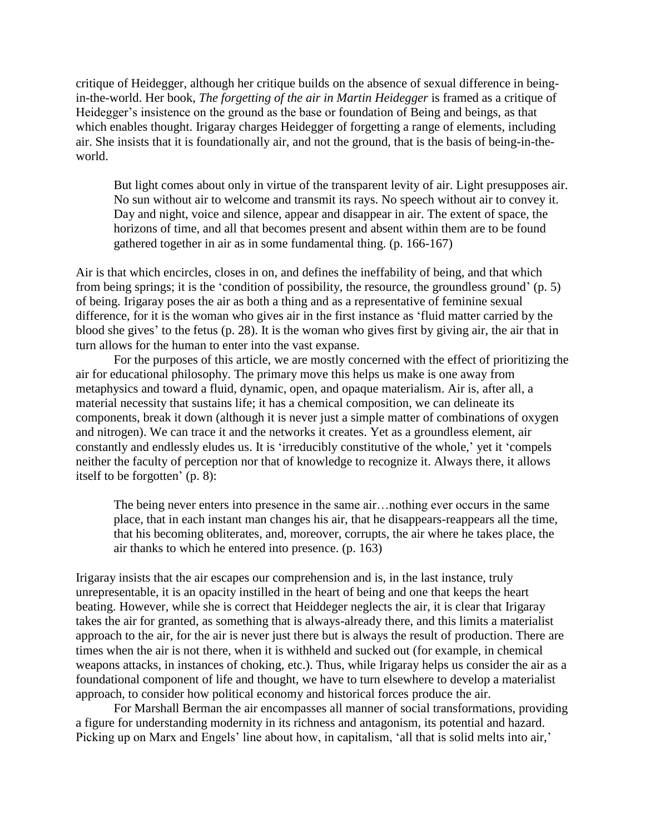critique of Heidegger, although her critique builds on the absence of sexual difference in beingin-the-world. Her book, *The forgetting of the air in Martin Heidegger* is framed as a critique of Heidegger's insistence on the ground as the base or foundation of Being and beings, as that which enables thought. Irigaray charges Heidegger of forgetting a range of elements, including air. She insists that it is foundationally air, and not the ground, that is the basis of being-in-theworld.

But light comes about only in virtue of the transparent levity of air. Light presupposes air. No sun without air to welcome and transmit its rays. No speech without air to convey it. Day and night, voice and silence, appear and disappear in air. The extent of space, the horizons of time, and all that becomes present and absent within them are to be found gathered together in air as in some fundamental thing. (p. 166-167)

Air is that which encircles, closes in on, and defines the ineffability of being, and that which from being springs; it is the 'condition of possibility, the resource, the groundless ground' (p. 5) of being. Irigaray poses the air as both a thing and as a representative of feminine sexual difference, for it is the woman who gives air in the first instance as 'fluid matter carried by the blood she gives' to the fetus (p. 28). It is the woman who gives first by giving air, the air that in turn allows for the human to enter into the vast expanse.

For the purposes of this article, we are mostly concerned with the effect of prioritizing the air for educational philosophy. The primary move this helps us make is one away from metaphysics and toward a fluid, dynamic, open, and opaque materialism. Air is, after all, a material necessity that sustains life; it has a chemical composition, we can delineate its components, break it down (although it is never just a simple matter of combinations of oxygen and nitrogen). We can trace it and the networks it creates. Yet as a groundless element, air constantly and endlessly eludes us. It is 'irreducibly constitutive of the whole,' yet it 'compels neither the faculty of perception nor that of knowledge to recognize it. Always there, it allows itself to be forgotten' (p. 8):

The being never enters into presence in the same air…nothing ever occurs in the same place, that in each instant man changes his air, that he disappears-reappears all the time, that his becoming obliterates, and, moreover, corrupts, the air where he takes place, the air thanks to which he entered into presence. (p. 163)

Irigaray insists that the air escapes our comprehension and is, in the last instance, truly unrepresentable, it is an opacity instilled in the heart of being and one that keeps the heart beating. However, while she is correct that Heiddeger neglects the air, it is clear that Irigaray takes the air for granted, as something that is always-already there, and this limits a materialist approach to the air, for the air is never just there but is always the result of production. There are times when the air is not there, when it is withheld and sucked out (for example, in chemical weapons attacks, in instances of choking, etc.). Thus, while Irigaray helps us consider the air as a foundational component of life and thought, we have to turn elsewhere to develop a materialist approach, to consider how political economy and historical forces produce the air.

For Marshall Berman the air encompasses all manner of social transformations, providing a figure for understanding modernity in its richness and antagonism, its potential and hazard. Picking up on Marx and Engels' line about how, in capitalism, 'all that is solid melts into air,'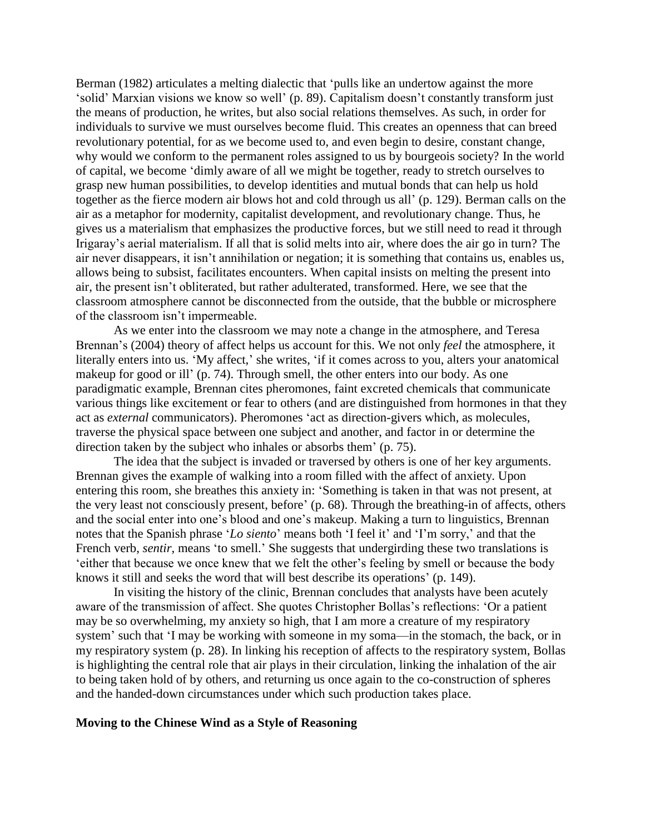Berman (1982) articulates a melting dialectic that 'pulls like an undertow against the more 'solid' Marxian visions we know so well' (p. 89). Capitalism doesn't constantly transform just the means of production, he writes, but also social relations themselves. As such, in order for individuals to survive we must ourselves become fluid. This creates an openness that can breed revolutionary potential, for as we become used to, and even begin to desire, constant change, why would we conform to the permanent roles assigned to us by bourgeois society? In the world of capital, we become 'dimly aware of all we might be together, ready to stretch ourselves to grasp new human possibilities, to develop identities and mutual bonds that can help us hold together as the fierce modern air blows hot and cold through us all' (p. 129). Berman calls on the air as a metaphor for modernity, capitalist development, and revolutionary change. Thus, he gives us a materialism that emphasizes the productive forces, but we still need to read it through Irigaray's aerial materialism. If all that is solid melts into air, where does the air go in turn? The air never disappears, it isn't annihilation or negation; it is something that contains us, enables us, allows being to subsist, facilitates encounters. When capital insists on melting the present into air, the present isn't obliterated, but rather adulterated, transformed. Here, we see that the classroom atmosphere cannot be disconnected from the outside, that the bubble or microsphere of the classroom isn't impermeable.

As we enter into the classroom we may note a change in the atmosphere, and Teresa Brennan's (2004) theory of affect helps us account for this. We not only *feel* the atmosphere, it literally enters into us. 'My affect,' she writes, 'if it comes across to you, alters your anatomical makeup for good or ill' (p. 74). Through smell, the other enters into our body. As one paradigmatic example, Brennan cites pheromones, faint excreted chemicals that communicate various things like excitement or fear to others (and are distinguished from hormones in that they act as *external* communicators). Pheromones 'act as direction-givers which, as molecules, traverse the physical space between one subject and another, and factor in or determine the direction taken by the subject who inhales or absorbs them' (p. 75).

The idea that the subject is invaded or traversed by others is one of her key arguments. Brennan gives the example of walking into a room filled with the affect of anxiety. Upon entering this room, she breathes this anxiety in: 'Something is taken in that was not present, at the very least not consciously present, before' (p. 68). Through the breathing-in of affects, others and the social enter into one's blood and one's makeup. Making a turn to linguistics, Brennan notes that the Spanish phrase '*Lo siento*' means both 'I feel it' and 'I'm sorry,' and that the French verb, *sentir*, means 'to smell.' She suggests that undergirding these two translations is 'either that because we once knew that we felt the other's feeling by smell or because the body knows it still and seeks the word that will best describe its operations' (p. 149).

In visiting the history of the clinic, Brennan concludes that analysts have been acutely aware of the transmission of affect. She quotes Christopher Bollas's reflections: 'Or a patient may be so overwhelming, my anxiety so high, that I am more a creature of my respiratory system' such that 'I may be working with someone in my soma—in the stomach, the back, or in my respiratory system (p. 28). In linking his reception of affects to the respiratory system, Bollas is highlighting the central role that air plays in their circulation, linking the inhalation of the air to being taken hold of by others, and returning us once again to the co-construction of spheres and the handed-down circumstances under which such production takes place.

#### **Moving to the Chinese Wind as a Style of Reasoning**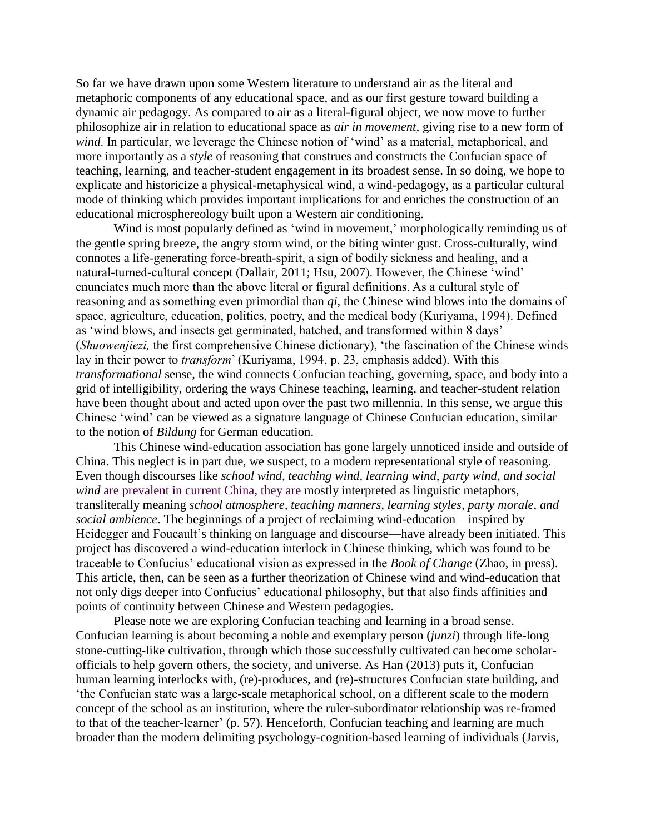So far we have drawn upon some Western literature to understand air as the literal and metaphoric components of any educational space, and as our first gesture toward building a dynamic air pedagogy. As compared to air as a literal-figural object, we now move to further philosophize air in relation to educational space as *air in movement*, giving rise to a new form of *wind*. In particular, we leverage the Chinese notion of 'wind' as a material, metaphorical, and more importantly as a *style* of reasoning that construes and constructs the Confucian space of teaching, learning, and teacher-student engagement in its broadest sense. In so doing, we hope to explicate and historicize a physical-metaphysical wind, a wind-pedagogy, as a particular cultural mode of thinking which provides important implications for and enriches the construction of an educational microsphereology built upon a Western air conditioning.

Wind is most popularly defined as 'wind in movement,' morphologically reminding us of the gentle spring breeze, the angry storm wind, or the biting winter gust. Cross-culturally, wind connotes a life-generating force-breath-spirit, a sign of bodily sickness and healing, and a natural-turned-cultural concept (Dallair, 2011; Hsu, 2007). However, the Chinese 'wind' enunciates much more than the above literal or figural definitions. As a cultural style of reasoning and as something even primordial than *qi*, the Chinese wind blows into the domains of space, agriculture, education, politics, poetry, and the medical body (Kuriyama, 1994). Defined as 'wind blows, and insects get germinated, hatched, and transformed within 8 days' (*Shuowenjiezi,* the first comprehensive Chinese dictionary), 'the fascination of the Chinese winds lay in their power to *transform*' (Kuriyama, 1994, p. 23, emphasis added). With this *transformational* sense, the wind connects Confucian teaching, governing, space, and body into a grid of intelligibility, ordering the ways Chinese teaching, learning, and teacher-student relation have been thought about and acted upon over the past two millennia. In this sense, we argue this Chinese 'wind' can be viewed as a signature language of Chinese Confucian education, similar to the notion of *Bildung* for German education.

This Chinese wind-education association has gone largely unnoticed inside and outside of China. This neglect is in part due, we suspect, to a modern representational style of reasoning. Even though discourses like *school wind, teaching wind, learning wind, party wind, and social wind* are prevalent in current China, they are mostly interpreted as linguistic metaphors, transliterally meaning *school atmosphere, teaching manners, learning styles, party morale, and social ambience*. The beginnings of a project of reclaiming wind-education—inspired by Heidegger and Foucault's thinking on language and discourse—have already been initiated. This project has discovered a wind-education interlock in Chinese thinking, which was found to be traceable to Confucius' educational vision as expressed in the *Book of Change* (Zhao, in press). This article, then, can be seen as a further theorization of Chinese wind and wind-education that not only digs deeper into Confucius' educational philosophy, but that also finds affinities and points of continuity between Chinese and Western pedagogies.

Please note we are exploring Confucian teaching and learning in a broad sense. Confucian learning is about becoming a noble and exemplary person (*junzi*) through life-long stone-cutting-like cultivation, through which those successfully cultivated can become scholarofficials to help govern others, the society, and universe. As Han (2013) puts it, Confucian human learning interlocks with, (re)-produces, and (re)-structures Confucian state building, and 'the Confucian state was a large-scale metaphorical school, on a different scale to the modern concept of the school as an institution, where the ruler-subordinator relationship was re-framed to that of the teacher-learner' (p. 57). Henceforth, Confucian teaching and learning are much broader than the modern delimiting psychology-cognition-based learning of individuals (Jarvis,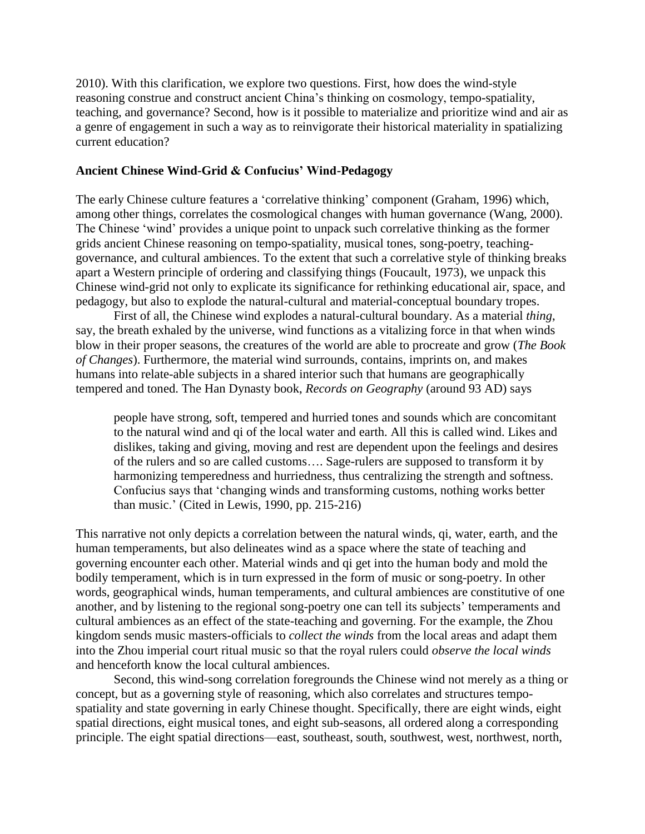2010). With this clarification, we explore two questions. First, how does the wind-style reasoning construe and construct ancient China's thinking on cosmology, tempo-spatiality, teaching, and governance? Second, how is it possible to materialize and prioritize wind and air as a genre of engagement in such a way as to reinvigorate their historical materiality in spatializing current education?

### **Ancient Chinese Wind-Grid & Confucius' Wind-Pedagogy**

The early Chinese culture features a 'correlative thinking' component (Graham, 1996) which, among other things, correlates the cosmological changes with human governance (Wang, 2000). The Chinese 'wind' provides a unique point to unpack such correlative thinking as the former grids ancient Chinese reasoning on tempo-spatiality, musical tones, song-poetry, teachinggovernance, and cultural ambiences. To the extent that such a correlative style of thinking breaks apart a Western principle of ordering and classifying things (Foucault, 1973), we unpack this Chinese wind-grid not only to explicate its significance for rethinking educational air, space, and pedagogy, but also to explode the natural-cultural and material-conceptual boundary tropes.

First of all, the Chinese wind explodes a natural-cultural boundary. As a material *thing*, say, the breath exhaled by the universe, wind functions as a vitalizing force in that when winds blow in their proper seasons, the creatures of the world are able to procreate and grow (*The Book of Changes*). Furthermore, the material wind surrounds, contains, imprints on, and makes humans into relate-able subjects in a shared interior such that humans are geographically tempered and toned. The Han Dynasty book, *Records on Geography* (around 93 AD) says

people have strong, soft, tempered and hurried tones and sounds which are concomitant to the natural wind and qi of the local water and earth. All this is called wind. Likes and dislikes, taking and giving, moving and rest are dependent upon the feelings and desires of the rulers and so are called customs…. Sage-rulers are supposed to transform it by harmonizing temperedness and hurriedness, thus centralizing the strength and softness. Confucius says that 'changing winds and transforming customs, nothing works better than music.' (Cited in Lewis, 1990, pp. 215-216)

This narrative not only depicts a correlation between the natural winds, qi, water, earth, and the human temperaments, but also delineates wind as a space where the state of teaching and governing encounter each other. Material winds and qi get into the human body and mold the bodily temperament, which is in turn expressed in the form of music or song-poetry. In other words, geographical winds, human temperaments, and cultural ambiences are constitutive of one another, and by listening to the regional song-poetry one can tell its subjects' temperaments and cultural ambiences as an effect of the state-teaching and governing. For the example, the Zhou kingdom sends music masters-officials to *collect the winds* from the local areas and adapt them into the Zhou imperial court ritual music so that the royal rulers could *observe the local winds* and henceforth know the local cultural ambiences.

Second, this wind-song correlation foregrounds the Chinese wind not merely as a thing or concept, but as a governing style of reasoning, which also correlates and structures tempospatiality and state governing in early Chinese thought. Specifically, there are eight winds, eight spatial directions, eight musical tones, and eight sub-seasons, all ordered along a corresponding principle. The eight spatial directions—east, southeast, south, southwest, west, northwest, north,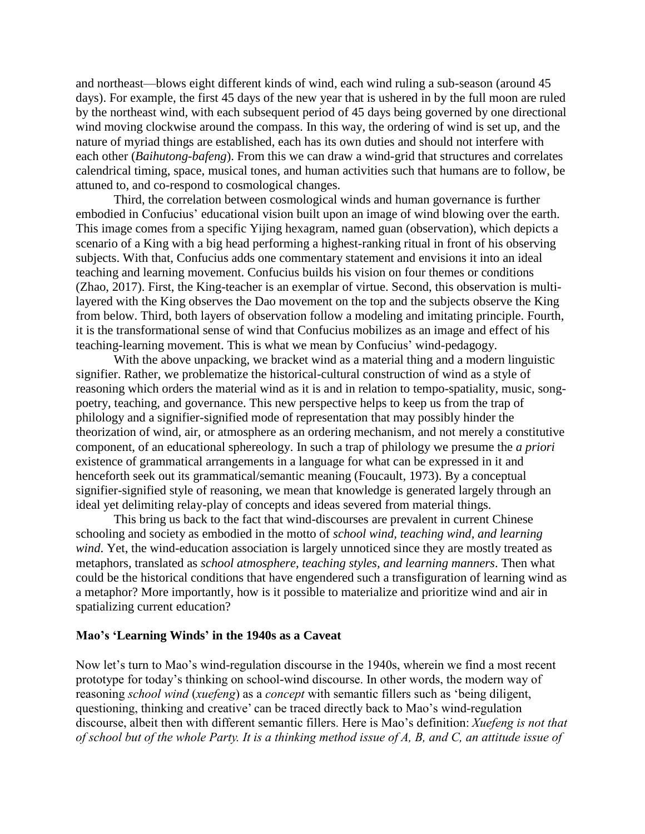and northeast—blows eight different kinds of wind, each wind ruling a sub-season (around 45 days). For example, the first 45 days of the new year that is ushered in by the full moon are ruled by the northeast wind, with each subsequent period of 45 days being governed by one directional wind moving clockwise around the compass. In this way, the ordering of wind is set up, and the nature of myriad things are established, each has its own duties and should not interfere with each other (*Baihutong-bafeng*). From this we can draw a wind-grid that structures and correlates calendrical timing, space, musical tones, and human activities such that humans are to follow, be attuned to, and co-respond to cosmological changes.

Third, the correlation between cosmological winds and human governance is further embodied in Confucius' educational vision built upon an image of wind blowing over the earth. This image comes from a specific Yijing hexagram, named guan (observation), which depicts a scenario of a King with a big head performing a highest-ranking ritual in front of his observing subjects. With that, Confucius adds one commentary statement and envisions it into an ideal teaching and learning movement. Confucius builds his vision on four themes or conditions (Zhao, 2017). First, the King-teacher is an exemplar of virtue. Second, this observation is multilayered with the King observes the Dao movement on the top and the subjects observe the King from below. Third, both layers of observation follow a modeling and imitating principle. Fourth, it is the transformational sense of wind that Confucius mobilizes as an image and effect of his teaching-learning movement. This is what we mean by Confucius' wind-pedagogy.

With the above unpacking, we bracket wind as a material thing and a modern linguistic signifier. Rather, we problematize the historical-cultural construction of wind as a style of reasoning which orders the material wind as it is and in relation to tempo-spatiality, music, songpoetry, teaching, and governance. This new perspective helps to keep us from the trap of philology and a signifier-signified mode of representation that may possibly hinder the theorization of wind, air, or atmosphere as an ordering mechanism, and not merely a constitutive component, of an educational sphereology. In such a trap of philology we presume the *a priori* existence of grammatical arrangements in a language for what can be expressed in it and henceforth seek out its grammatical/semantic meaning (Foucault, 1973). By a conceptual signifier-signified style of reasoning, we mean that knowledge is generated largely through an ideal yet delimiting relay-play of concepts and ideas severed from material things.

This bring us back to the fact that wind-discourses are prevalent in current Chinese schooling and society as embodied in the motto of *school wind, teaching wind, and learning wind*. Yet, the wind-education association is largely unnoticed since they are mostly treated as metaphors, translated as *school atmosphere, teaching styles, and learning manners*. Then what could be the historical conditions that have engendered such a transfiguration of learning wind as a metaphor? More importantly, how is it possible to materialize and prioritize wind and air in spatializing current education?

#### **Mao's 'Learning Winds' in the 1940s as a Caveat**

Now let's turn to Mao's wind-regulation discourse in the 1940s, wherein we find a most recent prototype for today's thinking on school-wind discourse. In other words, the modern way of reasoning *school wind* (*xuefeng*) as a *concept* with semantic fillers such as 'being diligent, questioning, thinking and creative' can be traced directly back to Mao's wind-regulation discourse, albeit then with different semantic fillers. Here is Mao's definition: *Xuefeng is not that of school but of the whole Party. It is a thinking method issue of A, B, and C, an attitude issue of*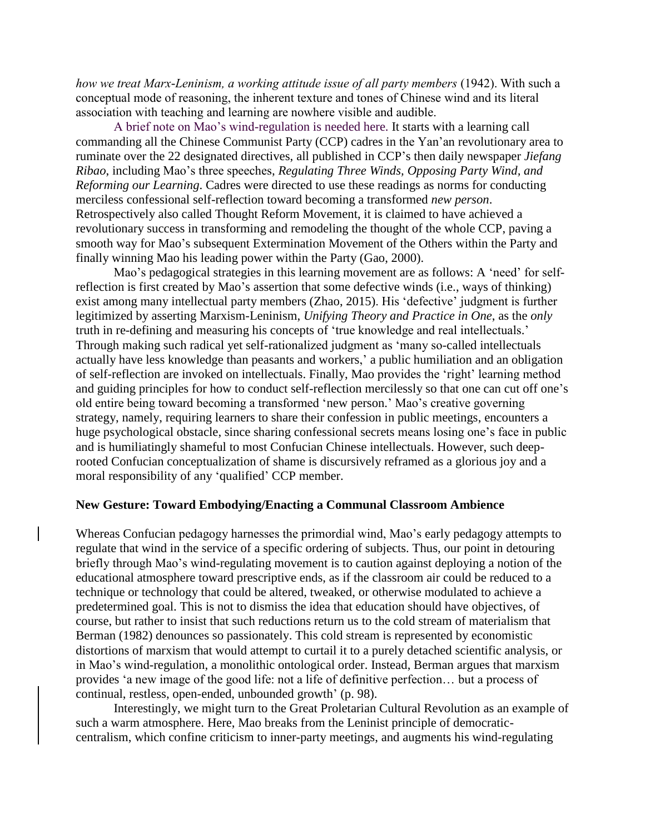*how we treat Marx-Leninism, a working attitude issue of all party members* (1942). With such a conceptual mode of reasoning, the inherent texture and tones of Chinese wind and its literal association with teaching and learning are nowhere visible and audible.

A brief note on Mao's wind-regulation is needed here. It starts with a learning call commanding all the Chinese Communist Party (CCP) cadres in the Yan'an revolutionary area to ruminate over the 22 designated directives, all published in CCP's then daily newspaper *Jiefang Ribao*, including Mao's three speeches, *Regulating Three Winds, Opposing Party Wind, and Reforming our Learning*. Cadres were directed to use these readings as norms for conducting merciless confessional self-reflection toward becoming a transformed *new person*. Retrospectively also called Thought Reform Movement, it is claimed to have achieved a revolutionary success in transforming and remodeling the thought of the whole CCP, paving a smooth way for Mao's subsequent Extermination Movement of the Others within the Party and finally winning Mao his leading power within the Party (Gao, 2000).

Mao's pedagogical strategies in this learning movement are as follows: A 'need' for selfreflection is first created by Mao's assertion that some defective winds (i.e., ways of thinking) exist among many intellectual party members (Zhao, 2015). His 'defective' judgment is further legitimized by asserting Marxism-Leninism, *Unifying Theory and Practice in One*, as the *only* truth in re-defining and measuring his concepts of 'true knowledge and real intellectuals.' Through making such radical yet self-rationalized judgment as 'many so-called intellectuals actually have less knowledge than peasants and workers,' a public humiliation and an obligation of self-reflection are invoked on intellectuals. Finally, Mao provides the 'right' learning method and guiding principles for how to conduct self-reflection mercilessly so that one can cut off one's old entire being toward becoming a transformed 'new person.' Mao's creative governing strategy, namely, requiring learners to share their confession in public meetings, encounters a huge psychological obstacle, since sharing confessional secrets means losing one's face in public and is humiliatingly shameful to most Confucian Chinese intellectuals. However, such deeprooted Confucian conceptualization of shame is discursively reframed as a glorious joy and a moral responsibility of any 'qualified' CCP member.

#### **New Gesture: Toward Embodying/Enacting a Communal Classroom Ambience**

Whereas Confucian pedagogy harnesses the primordial wind, Mao's early pedagogy attempts to regulate that wind in the service of a specific ordering of subjects. Thus, our point in detouring briefly through Mao's wind-regulating movement is to caution against deploying a notion of the educational atmosphere toward prescriptive ends, as if the classroom air could be reduced to a technique or technology that could be altered, tweaked, or otherwise modulated to achieve a predetermined goal. This is not to dismiss the idea that education should have objectives, of course, but rather to insist that such reductions return us to the cold stream of materialism that Berman (1982) denounces so passionately. This cold stream is represented by economistic distortions of marxism that would attempt to curtail it to a purely detached scientific analysis, or in Mao's wind-regulation, a monolithic ontological order. Instead, Berman argues that marxism provides 'a new image of the good life: not a life of definitive perfection… but a process of continual, restless, open-ended, unbounded growth' (p. 98).

Interestingly, we might turn to the Great Proletarian Cultural Revolution as an example of such a warm atmosphere. Here, Mao breaks from the Leninist principle of democraticcentralism, which confine criticism to inner-party meetings, and augments his wind-regulating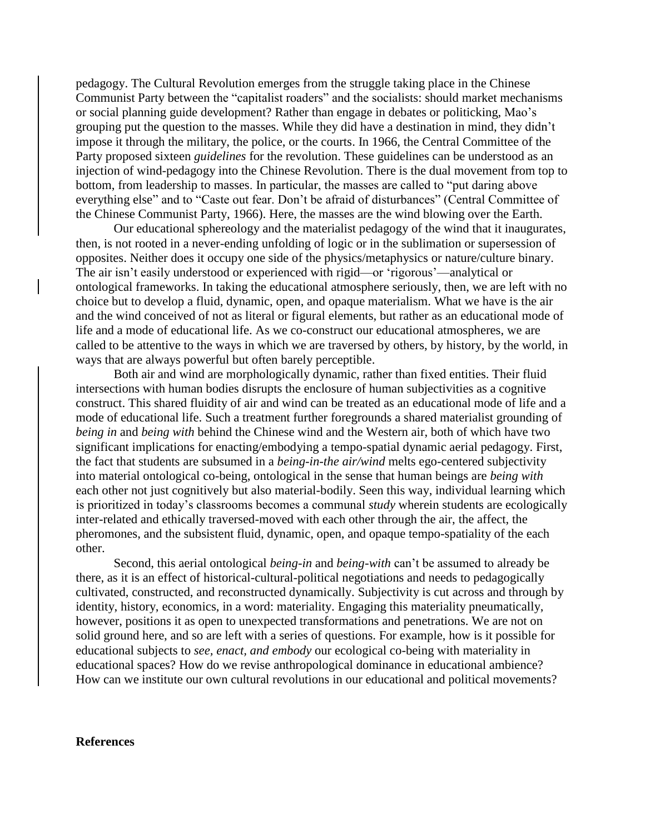pedagogy. The Cultural Revolution emerges from the struggle taking place in the Chinese Communist Party between the "capitalist roaders" and the socialists: should market mechanisms or social planning guide development? Rather than engage in debates or politicking, Mao's grouping put the question to the masses. While they did have a destination in mind, they didn't impose it through the military, the police, or the courts. In 1966, the Central Committee of the Party proposed sixteen *guidelines* for the revolution. These guidelines can be understood as an injection of wind-pedagogy into the Chinese Revolution. There is the dual movement from top to bottom, from leadership to masses. In particular, the masses are called to "put daring above everything else" and to "Caste out fear. Don't be afraid of disturbances" (Central Committee of the Chinese Communist Party, 1966). Here, the masses are the wind blowing over the Earth.

Our educational sphereology and the materialist pedagogy of the wind that it inaugurates, then, is not rooted in a never-ending unfolding of logic or in the sublimation or supersession of opposites. Neither does it occupy one side of the physics/metaphysics or nature/culture binary. The air isn't easily understood or experienced with rigid—or 'rigorous'—analytical or ontological frameworks. In taking the educational atmosphere seriously, then, we are left with no choice but to develop a fluid, dynamic, open, and opaque materialism. What we have is the air and the wind conceived of not as literal or figural elements, but rather as an educational mode of life and a mode of educational life. As we co-construct our educational atmospheres, we are called to be attentive to the ways in which we are traversed by others, by history, by the world, in ways that are always powerful but often barely perceptible.

Both air and wind are morphologically dynamic, rather than fixed entities. Their fluid intersections with human bodies disrupts the enclosure of human subjectivities as a cognitive construct. This shared fluidity of air and wind can be treated as an educational mode of life and a mode of educational life. Such a treatment further foregrounds a shared materialist grounding of *being in* and *being with* behind the Chinese wind and the Western air, both of which have two significant implications for enacting/embodying a tempo-spatial dynamic aerial pedagogy. First, the fact that students are subsumed in a *being-in-the air/wind* melts ego-centered subjectivity into material ontological co-being, ontological in the sense that human beings are *being with*  each other not just cognitively but also material-bodily. Seen this way, individual learning which is prioritized in today's classrooms becomes a communal *study* wherein students are ecologically inter-related and ethically traversed-moved with each other through the air, the affect, the pheromones, and the subsistent fluid, dynamic, open, and opaque tempo-spatiality of the each other.

Second, this aerial ontological *being-in* and *being-with* can't be assumed to already be there, as it is an effect of historical-cultural-political negotiations and needs to pedagogically cultivated, constructed, and reconstructed dynamically. Subjectivity is cut across and through by identity, history, economics, in a word: materiality. Engaging this materiality pneumatically, however, positions it as open to unexpected transformations and penetrations. We are not on solid ground here, and so are left with a series of questions. For example, how is it possible for educational subjects to *see, enact, and embody* our ecological co-being with materiality in educational spaces? How do we revise anthropological dominance in educational ambience? How can we institute our own cultural revolutions in our educational and political movements?

#### **References**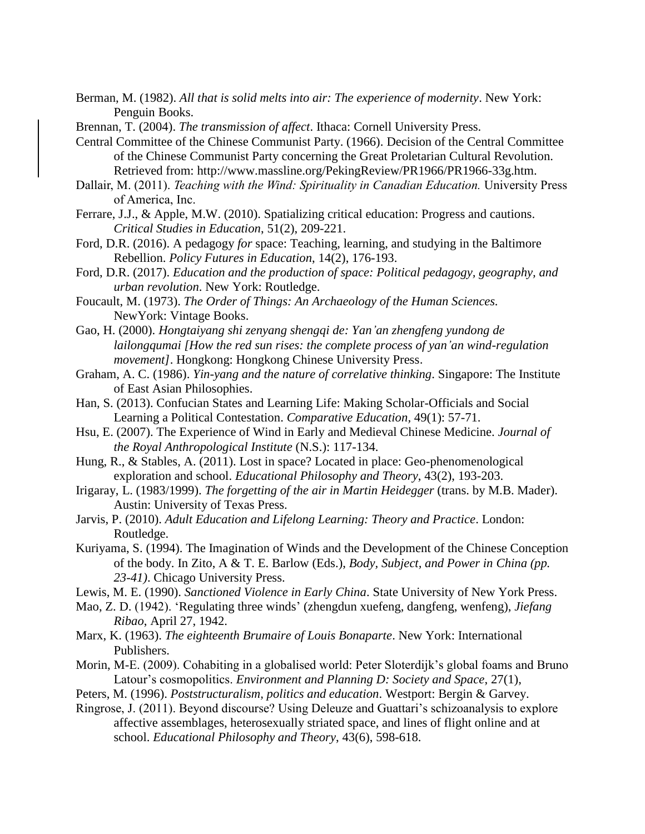Berman, M. (1982). *All that is solid melts into air: The experience of modernity*. New York: Penguin Books.

Brennan, T. (2004). *The transmission of affect*. Ithaca: Cornell University Press.

Central Committee of the Chinese Communist Party. (1966). Decision of the Central Committee of the Chinese Communist Party concerning the Great Proletarian Cultural Revolution. Retrieved from: http://www.massline.org/PekingReview/PR1966/PR1966-33g.htm.

- Dallair, M. (2011). *Teaching with the Wind: Spirituality in Canadian Education*. University Press of America, Inc.
- Ferrare, J.J., & Apple, M.W. (2010). Spatializing critical education: Progress and cautions. *Critical Studies in Education*, 51(2), 209-221.
- Ford, D.R. (2016). A pedagogy *for* space: Teaching, learning, and studying in the Baltimore Rebellion. *Policy Futures in Education*, 14(2), 176-193.
- Ford, D.R. (2017). *Education and the production of space: Political pedagogy, geography, and urban revolution*. New York: Routledge.
- Foucault, M. (1973). *The Order of Things: An Archaeology of the Human Sciences.* NewYork: Vintage Books.
- Gao, H. (2000). *Hongtaiyang shi zenyang shengqi de: Yan'an zhengfeng yundong de lailongqumai [How the red sun rises: the complete process of yan'an wind-regulation movement]*. Hongkong: Hongkong Chinese University Press.
- Graham, A. C. (1986). *Yin-yang and the nature of correlative thinking*. Singapore: The Institute of East Asian Philosophies.
- Han, S. (2013). Confucian States and Learning Life: Making Scholar-Officials and Social Learning a Political Contestation. *Comparative Education,* 49(1): 57-71.
- Hsu, E. (2007). The Experience of Wind in Early and Medieval Chinese Medicine. *Journal of the Royal Anthropological Institute* (N.S.): 117-134.
- Hung, R., & Stables, A. (2011). Lost in space? Located in place: Geo-phenomenological exploration and school. *Educational Philosophy and Theory*, 43(2), 193-203.
- Irigaray, L. (1983/1999). *The forgetting of the air in Martin Heidegger* (trans. by M.B. Mader). Austin: University of Texas Press.
- Jarvis, P. (2010). *Adult Education and Lifelong Learning: Theory and Practice*. London: Routledge.
- Kuriyama, S. (1994). The Imagination of Winds and the Development of the Chinese Conception of the body. In Zito, A & T. E. Barlow (Eds.), *Body, Subject, and Power in China (pp. 23-41)*. Chicago University Press.
- Lewis, M. E. (1990). *Sanctioned Violence in Early China*. State University of New York Press.
- Mao, Z. D. (1942). 'Regulating three winds' (zhengdun xuefeng, dangfeng, wenfeng), *Jiefang Ribao*, April 27, 1942.
- Marx, K. (1963). *The eighteenth Brumaire of Louis Bonaparte*. New York: International Publishers.
- Morin, M-E. (2009). Cohabiting in a globalised world: Peter Sloterdijk's global foams and Bruno Latour's cosmopolitics. *Environment and Planning D: Society and Space*, 27(1),
- Peters, M. (1996). *Poststructuralism, politics and education*. Westport: Bergin & Garvey.
- Ringrose, J. (2011). Beyond discourse? Using Deleuze and Guattari's schizoanalysis to explore affective assemblages, heterosexually striated space, and lines of flight online and at school. *Educational Philosophy and Theory*, 43(6), 598-618.